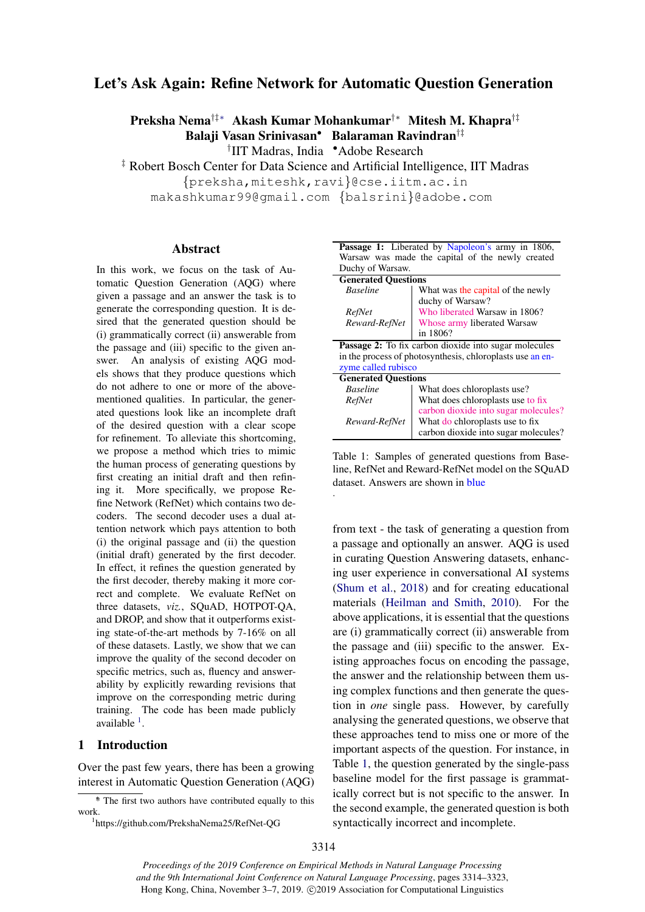# Let's Ask Again: Refine Network for Automatic Question Generation

Preksha Nema†‡∗ Akash Kumar Mohankumar†∗ Mitesh M. Khapra†‡ Balaji Vasan Srinivasan• Balaraman Ravindran†‡

† IIT Madras, India •Adobe Research

‡ Robert Bosch Center for Data Science and Artificial Intelligence, IIT Madras

{preksha,miteshk,ravi}@cse.iitm.ac.in

makashkumar99@gmail.com {balsrini}@adobe.com

.

# Abstract

In this work, we focus on the task of Automatic Question Generation (AQG) where given a passage and an answer the task is to generate the corresponding question. It is desired that the generated question should be (i) grammatically correct (ii) answerable from the passage and (iii) specific to the given answer. An analysis of existing AQG models shows that they produce questions which do not adhere to one or more of the abovementioned qualities. In particular, the generated questions look like an incomplete draft of the desired question with a clear scope for refinement. To alleviate this shortcoming, we propose a method which tries to mimic the human process of generating questions by first creating an initial draft and then refining it. More specifically, we propose Refine Network (RefNet) which contains two decoders. The second decoder uses a dual attention network which pays attention to both (i) the original passage and (ii) the question (initial draft) generated by the first decoder. In effect, it refines the question generated by the first decoder, thereby making it more correct and complete. We evaluate RefNet on three datasets, *viz.*, SQuAD, HOTPOT-QA, and DROP, and show that it outperforms existing state-of-the-art methods by 7-16% on all of these datasets. Lastly, we show that we can improve the quality of the second decoder on specific metrics, such as, fluency and answerability by explicitly rewarding revisions that improve on the corresponding metric during training. The code has been made publicly available <sup>[1](#page-0-0)</sup>.

# 1 Introduction

Over the past few years, there has been a growing interest in Automatic Question Generation (AQG)

<span id="page-0-1"></span>

|                            | Passage 1: Liberated by Napoleon's army in 1806,             |  |  |  |
|----------------------------|--------------------------------------------------------------|--|--|--|
|                            | Warsaw was made the capital of the newly created             |  |  |  |
| Duchy of Warsaw.           |                                                              |  |  |  |
| <b>Generated Ouestions</b> |                                                              |  |  |  |
| <b>Baseline</b>            | What was the capital of the newly                            |  |  |  |
|                            | duchy of Warsaw?                                             |  |  |  |
| RefNet                     | Who liberated Warsaw in 1806?                                |  |  |  |
| Reward-RefNet              | Whose army liberated Warsaw                                  |  |  |  |
|                            | in 1806?                                                     |  |  |  |
|                            | <b>Passage 2:</b> To fix carbon dioxide into sugar molecules |  |  |  |
|                            | in the process of photosynthesis, chloroplasts use an en-    |  |  |  |
| zyme called rubisco        |                                                              |  |  |  |
| <b>Generated Ouestions</b> |                                                              |  |  |  |
| <b>Baseline</b>            | What does chloroplasts use?                                  |  |  |  |
| RefNet                     | What does chloroplasts use to fix                            |  |  |  |
|                            | carbon dioxide into sugar molecules?                         |  |  |  |
| Reward-RefNet              | What do chloroplasts use to fix                              |  |  |  |
|                            | carbon dioxide into sugar molecules?                         |  |  |  |

Table 1: Samples of generated questions from Baseline, RefNet and Reward-RefNet model on the SQuAD dataset. Answers are shown in blue

from text - the task of generating a question from a passage and optionally an answer. AQG is used in curating Question Answering datasets, enhancing user experience in conversational AI systems [\(Shum et al.,](#page-9-0) [2018\)](#page-9-0) and for creating educational materials [\(Heilman and Smith,](#page-8-0) [2010\)](#page-8-0). For the above applications, it is essential that the questions are (i) grammatically correct (ii) answerable from the passage and (iii) specific to the answer. Existing approaches focus on encoding the passage, the answer and the relationship between them using complex functions and then generate the question in *one* single pass. However, by carefully analysing the generated questions, we observe that these approaches tend to miss one or more of the important aspects of the question. For instance, in Table [1,](#page-0-1) the question generated by the single-pass baseline model for the first passage is grammatically correct but is not specific to the answer. In the second example, the generated question is both syntactically incorrect and incomplete.

*Proceedings of the 2019 Conference on Empirical Methods in Natural Language Processing and the 9th International Joint Conference on Natural Language Processing*, pages 3314–3323, Hong Kong, China, November 3–7, 2019. ©2019 Association for Computational Linguistics

<sup>∗</sup> \* The first two authors have contributed equally to this work.

<span id="page-0-0"></span><sup>1</sup> https://github.com/PrekshaNema25/RefNet-QG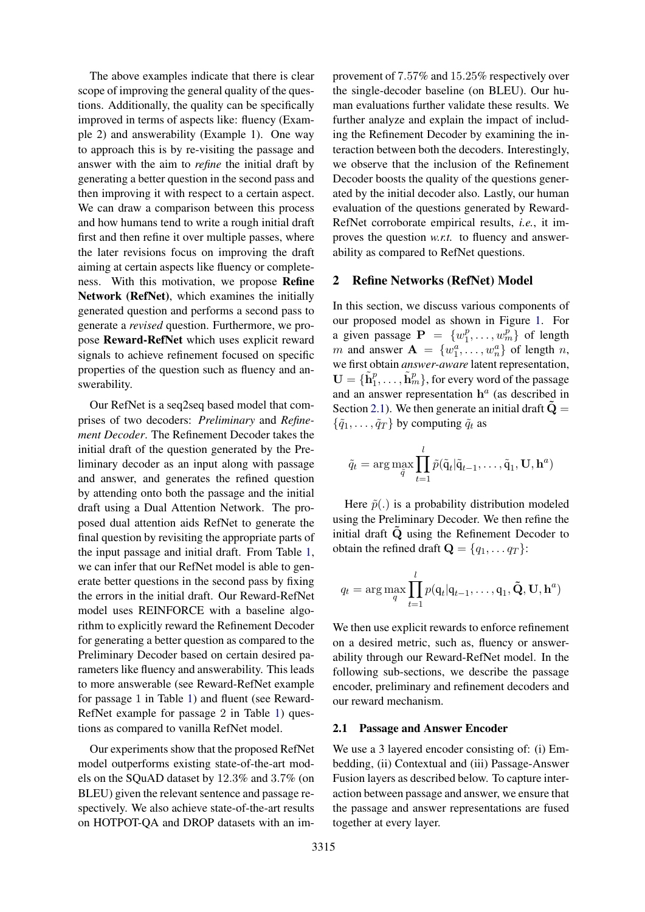The above examples indicate that there is clear scope of improving the general quality of the questions. Additionally, the quality can be specifically improved in terms of aspects like: fluency (Example 2) and answerability (Example 1). One way to approach this is by re-visiting the passage and answer with the aim to *refine* the initial draft by generating a better question in the second pass and then improving it with respect to a certain aspect. We can draw a comparison between this process and how humans tend to write a rough initial draft first and then refine it over multiple passes, where the later revisions focus on improving the draft aiming at certain aspects like fluency or completeness. With this motivation, we propose Refine Network (RefNet), which examines the initially generated question and performs a second pass to generate a *revised* question. Furthermore, we propose Reward-RefNet which uses explicit reward signals to achieve refinement focused on specific properties of the question such as fluency and answerability.

Our RefNet is a seq2seq based model that comprises of two decoders: *Preliminary* and *Refinement Decoder*. The Refinement Decoder takes the initial draft of the question generated by the Preliminary decoder as an input along with passage and answer, and generates the refined question by attending onto both the passage and the initial draft using a Dual Attention Network. The proposed dual attention aids RefNet to generate the final question by revisiting the appropriate parts of the input passage and initial draft. From Table [1,](#page-0-1) we can infer that our RefNet model is able to generate better questions in the second pass by fixing the errors in the initial draft. Our Reward-RefNet model uses REINFORCE with a baseline algorithm to explicitly reward the Refinement Decoder for generating a better question as compared to the Preliminary Decoder based on certain desired parameters like fluency and answerability. This leads to more answerable (see Reward-RefNet example for passage 1 in Table [1\)](#page-0-1) and fluent (see Reward-RefNet example for passage 2 in Table [1\)](#page-0-1) questions as compared to vanilla RefNet model.

Our experiments show that the proposed RefNet model outperforms existing state-of-the-art models on the SQuAD dataset by 12.3% and 3.7% (on BLEU) given the relevant sentence and passage respectively. We also achieve state-of-the-art results on HOTPOT-QA and DROP datasets with an improvement of 7.57% and 15.25% respectively over the single-decoder baseline (on BLEU). Our human evaluations further validate these results. We further analyze and explain the impact of including the Refinement Decoder by examining the interaction between both the decoders. Interestingly, we observe that the inclusion of the Refinement Decoder boosts the quality of the questions generated by the initial decoder also. Lastly, our human evaluation of the questions generated by Reward-RefNet corroborate empirical results, *i.e.*, it improves the question *w.r.t.* to fluency and answerability as compared to RefNet questions.

# 2 Refine Networks (RefNet) Model

In this section, we discuss various components of our proposed model as shown in Figure [1.](#page-2-0) For a given passage  $P = \{w_1^p\}$  $\{v_1^p, \ldots, v_m^p\}$  of length m and answer  $\mathbf{A} = \{w_1^a, \dots, w_n^a\}$  of length n, we first obtain *answer-aware* latent representation,  $\mathbf{U} = {\{\tilde{\mathbf{h}}_1^p, \ldots, \tilde{\mathbf{h}}_m^p\}}$ , for every word of the passage and an answer representation  $h^a$  (as described in Section [2.1\)](#page-1-0). We then generate an initial draft  $\tilde{Q} =$  $\{\tilde{q}_1, \ldots, \tilde{q}_T\}$  by computing  $\tilde{q}_t$  as

$$
\tilde{q}_t = \arg \max_{\tilde{q}} \prod_{t=1}^l \tilde{p}(\tilde{q}_t | \tilde{q}_{t-1}, \dots, \tilde{q}_1, \mathbf{U}, \mathbf{h}^a)
$$

Here  $\tilde{p}(.)$  is a probability distribution modeled using the Preliminary Decoder. We then refine the initial draft  $\tilde{Q}$  using the Refinement Decoder to obtain the refined draft  $\mathbf{Q} = \{q_1, \dots q_T\}$ :

$$
q_t = \arg\max_{q} \prod_{t=1}^{l} p(\mathbf{q}_t | \mathbf{q}_{t-1}, \dots, \mathbf{q}_1, \tilde{\mathbf{Q}}, \mathbf{U}, \mathbf{h}^a)
$$

We then use explicit rewards to enforce refinement on a desired metric, such as, fluency or answerability through our Reward-RefNet model. In the following sub-sections, we describe the passage encoder, preliminary and refinement decoders and our reward mechanism.

#### <span id="page-1-0"></span>2.1 Passage and Answer Encoder

We use a 3 layered encoder consisting of: (i) Embedding, (ii) Contextual and (iii) Passage-Answer Fusion layers as described below. To capture interaction between passage and answer, we ensure that the passage and answer representations are fused together at every layer.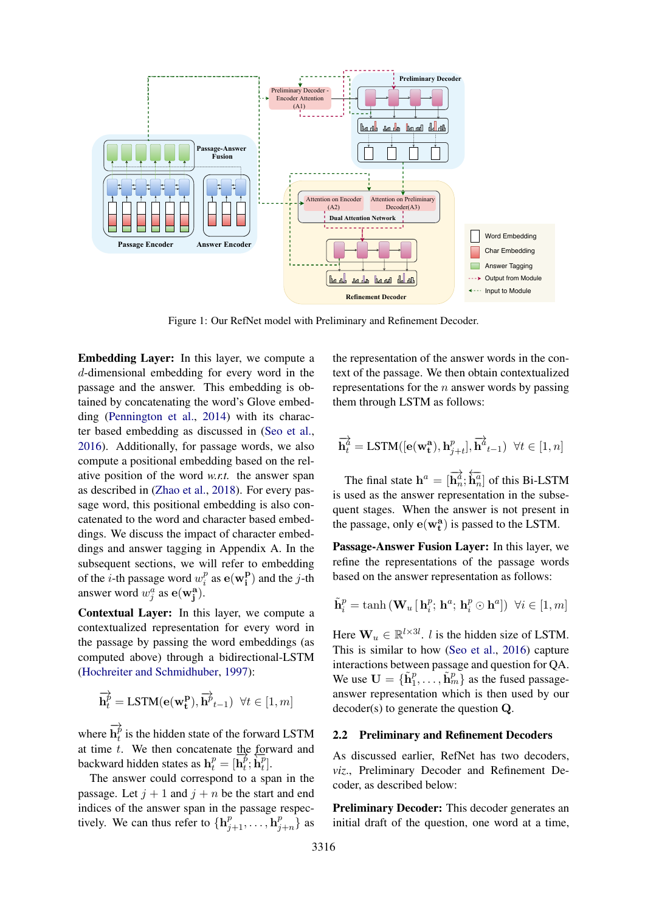<span id="page-2-0"></span>

Figure 1: Our RefNet model with Preliminary and Refinement Decoder.

Embedding Layer: In this layer, we compute a d-dimensional embedding for every word in the passage and the answer. This embedding is obtained by concatenating the word's Glove embedding [\(Pennington et al.,](#page-8-1) [2014\)](#page-8-1) with its character based embedding as discussed in [\(Seo et al.,](#page-9-1) [2016\)](#page-9-1). Additionally, for passage words, we also compute a positional embedding based on the relative position of the word *w.r.t.* the answer span as described in [\(Zhao et al.,](#page-9-2) [2018\)](#page-9-2). For every passage word, this positional embedding is also concatenated to the word and character based embeddings. We discuss the impact of character embeddings and answer tagging in Appendix A. In the subsequent sections, we will refer to embedding of the *i*-th passage word  $w_i^p$  $i^p$  as  $\mathbf{e}(\mathbf{w_i^p})$  $\binom{P}{i}$  and the *j*-th answer word  $w_j^a$  as  $e(w_j^a)$ .

Contextual Layer: In this layer, we compute a contextualized representation for every word in the passage by passing the word embeddings (as computed above) through a bidirectional-LSTM [\(Hochreiter and Schmidhuber,](#page-8-2) [1997\)](#page-8-2):

$$
\overrightarrow{\mathbf{h}_{t}^{p}} = \text{LSTM}(\mathbf{e}(\mathbf{w_{t}^{p}}), \overrightarrow{\mathbf{h}_{t-1}}) \ \forall t \in [1, m]
$$

where −→  $\overline{\mathbf{h}^{\not p}_t}$  $t<sub>t</sub><sup>p</sup>$  is the hidden state of the forward LSTM at time t. We then concatenate the forward and backward hidden states as  $\mathbf{h}_t^p = [\overline{\mathbf{h}_t^p}]$  $\vec{p}, \overleftarrow{\mathbf{h}_{t}^{p}}$  $_t^p$ .

The answer could correspond to a span in the passage. Let  $j + 1$  and  $j + n$  be the start and end indices of the answer span in the passage respectively. We can thus refer to  $\{\mathbf{h}_{j+1}^p, \ldots, \mathbf{h}_j^p\}$  $_{j+n}^p\}$  as

the representation of the answer words in the context of the passage. We then obtain contextualized representations for the  $n$  answer words by passing them through LSTM as follows:

$$
\overrightarrow{\mathbf{h}_{t}^{a}} = \text{LSTM}([\mathbf{e}(\mathbf{w_{t}^{a}}), \mathbf{h}_{j+t}^{p}], \overrightarrow{\mathbf{h}}_{t-1}^{a}) \ \forall t \in [1, n]
$$

The final state  $\mathbf{h}^a = [\overrightarrow{\mathbf{h}_n^a}; \overleftarrow{\mathbf{h}_n^a}]$  of this Bi-LSTM is used as the answer representation in the subsequent stages. When the answer is not present in the passage, only  $e(w_t^a)$  is passed to the LSTM.

Passage-Answer Fusion Layer: In this layer, we refine the representations of the passage words based on the answer representation as follows:

$$
\tilde{\mathbf{h}}_{i}^{p}=\tanh\left(\mathbf{W}_{u}\left[\,\mathbf{h}_{i}^{p};\,\mathbf{h}^{a};\,\mathbf{h}_{i}^{p}\odot\mathbf{h}^{a}\right]\right)\,\,\forall i\in\left[1,m\right]
$$

Here  $\mathbf{W}_u \in \mathbb{R}^{l \times 3l}$ . *l* is the hidden size of LSTM. This is similar to how [\(Seo et al.,](#page-9-1) [2016\)](#page-9-1) capture interactions between passage and question for QA. We use  $\mathbf{U} = {\{\tilde{\mathbf{h}}_1^p, \ldots, \tilde{\mathbf{h}}_m^p\}}$  as the fused passageanswer representation which is then used by our decoder(s) to generate the question Q.

#### 2.2 Preliminary and Refinement Decoders

As discussed earlier, RefNet has two decoders, *viz*., Preliminary Decoder and Refinement Decoder, as described below:

Preliminary Decoder: This decoder generates an initial draft of the question, one word at a time,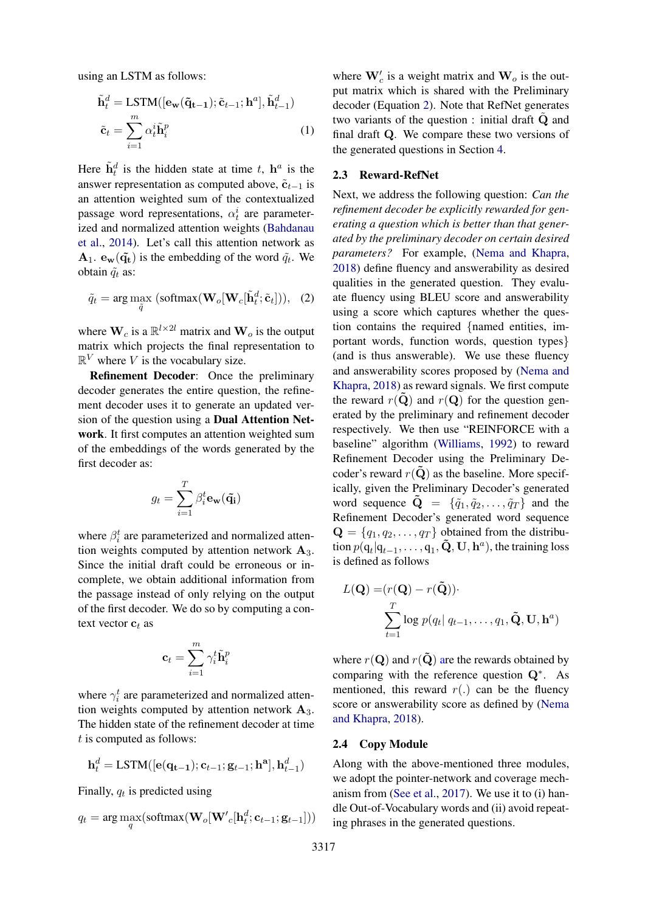using an LSTM as follows:

$$
\tilde{\mathbf{h}}_t^d = \text{LSTM}([\mathbf{e}_{\mathbf{w}}(\tilde{\mathbf{q}}_{t-1}); \tilde{\mathbf{c}}_{t-1}; \mathbf{h}^a], \tilde{\mathbf{h}}_{t-1}^d)
$$
\n
$$
\tilde{\mathbf{c}}_t = \sum_{i=1}^m \alpha_t^i \tilde{\mathbf{h}}_i^p
$$
\n(1)

Here  $\tilde{\mathbf{h}}_t^d$  is the hidden state at time t,  $\mathbf{h}^a$  is the answer representation as computed above,  $\tilde{\mathbf{c}}_{t-1}$  is an attention weighted sum of the contextualized passage word representations,  $\alpha_t^i$  are parameterized and normalized attention weights [\(Bahdanau](#page-8-3) [et al.,](#page-8-3) [2014\)](#page-8-3). Let's call this attention network as  $\mathbf{A}_1$ .  $\mathbf{e}_{\mathbf{w}}(\tilde{\mathbf{q}}_t)$  is the embedding of the word  $\tilde{q}_t$ . We obtain  $\tilde{q}_t$  as:

$$
\tilde{q}_t = \arg\max_{\tilde{q}} (\text{softmax}(\mathbf{W}_o[\mathbf{W}_c[\tilde{\mathbf{h}}_t^d; \tilde{\mathbf{c}}_t])), (2)
$$

where  $\mathbf{W}_c$  is a  $\mathbb{R}^{l \times 2l}$  matrix and  $\mathbf{W}_o$  is the output matrix which projects the final representation to  $\mathbb{R}^V$  where V is the vocabulary size.

Refinement Decoder: Once the preliminary decoder generates the entire question, the refinement decoder uses it to generate an updated version of the question using a Dual Attention Network. It first computes an attention weighted sum of the embeddings of the words generated by the first decoder as:

$$
g_t = \sum_{i=1}^T \beta_i^t \mathbf{e}_{\mathbf{w}}(\tilde{\mathbf{q_i}})
$$

where  $\beta_i^t$  are parameterized and normalized attention weights computed by attention network  $A_3$ . Since the initial draft could be erroneous or incomplete, we obtain additional information from the passage instead of only relying on the output of the first decoder. We do so by computing a context vector  $\mathbf{c}_t$  as

$$
\mathbf{c}_t = \sum_{i=1}^m \gamma_i^t \tilde{\mathbf{h}}_i^p
$$

where  $\gamma_i^t$  are parameterized and normalized attention weights computed by attention network  $A_3$ . The hidden state of the refinement decoder at time  $t$  is computed as follows:

$$
\mathbf{h}_t^d = \text{LSTM}([\mathbf{e}(\mathbf{q_{t-1}}); \mathbf{c}_{t-1}; \mathbf{g}_{t-1}; \mathbf{h^a}], \mathbf{h}_{t-1}^d)
$$

Finally,  $q_t$  is predicted using

$$
q_t = \arg\max_{q}(\text{softmax}(\mathbf{W}_o[\mathbf{W'}_c[\mathbf{h}_t^d; \mathbf{c}_{t-1}; \mathbf{g}_{t-1}]))
$$

where  $\mathbf{W}_c'$  is a weight matrix and  $\mathbf{W}_o$  is the output matrix which is shared with the Preliminary decoder (Equation [2\)](#page-3-0). Note that RefNet generates two variants of the question : initial draft Q and final draft Q. We compare these two versions of the generated questions in Section [4.](#page-5-0)

# <span id="page-3-1"></span>2.3 Reward-RefNet

<span id="page-3-0"></span>Next, we address the following question: *Can the refinement decoder be explicitly rewarded for generating a question which is better than that generated by the preliminary decoder on certain desired parameters?* For example, [\(Nema and Khapra,](#page-8-4) [2018\)](#page-8-4) define fluency and answerability as desired qualities in the generated question. They evaluate fluency using BLEU score and answerability using a score which captures whether the question contains the required {named entities, important words, function words, question types} (and is thus answerable). We use these fluency and answerability scores proposed by [\(Nema and](#page-8-4) [Khapra,](#page-8-4) [2018\)](#page-8-4) as reward signals. We first compute the reward  $r(\mathbf{\tilde{Q}})$  and  $r(\mathbf{Q})$  for the question generated by the preliminary and refinement decoder respectively. We then use "REINFORCE with a baseline" algorithm [\(Williams,](#page-9-3) [1992\)](#page-9-3) to reward Refinement Decoder using the Preliminary Decoder's reward  $r(Q)$  as the baseline. More specifically, given the Preliminary Decoder's generated word sequence  $\tilde{\mathbf{Q}} = \{\tilde{q}_1, \tilde{q}_2, \dots, \tilde{q}_T\}$  and the Refinement Decoder's generated word sequence  $\mathbf{Q} = \{q_1, q_2, \dots, q_T\}$  obtained from the distribution  $p(\mathbf{q}_t | \mathbf{q}_{t-1}, \dots, \mathbf{q}_1, \mathbf{\tilde{Q}}, \mathbf{U}, \mathbf{h}^a)$ , the training loss is defined as follows

$$
L(\mathbf{Q}) = (r(\mathbf{Q}) - r(\tilde{\mathbf{Q}})).
$$
  

$$
\sum_{t=1}^{T} \log p(q_t | q_{t-1}, \dots, q_1, \tilde{\mathbf{Q}}, \mathbf{U}, \mathbf{h}^a)
$$

where  $r(Q)$  and  $r(Q)$  are the rewards obtained by comparing with the reference question Q<sup>∗</sup> . As mentioned, this reward  $r(.)$  can be the fluency score or answerability score as defined by [\(Nema](#page-8-4) [and Khapra,](#page-8-4) [2018\)](#page-8-4).

#### 2.4 Copy Module

Along with the above-mentioned three modules, we adopt the pointer-network and coverage mechanism from [\(See et al.,](#page-9-4) [2017\)](#page-9-4). We use it to (i) handle Out-of-Vocabulary words and (ii) avoid repeating phrases in the generated questions.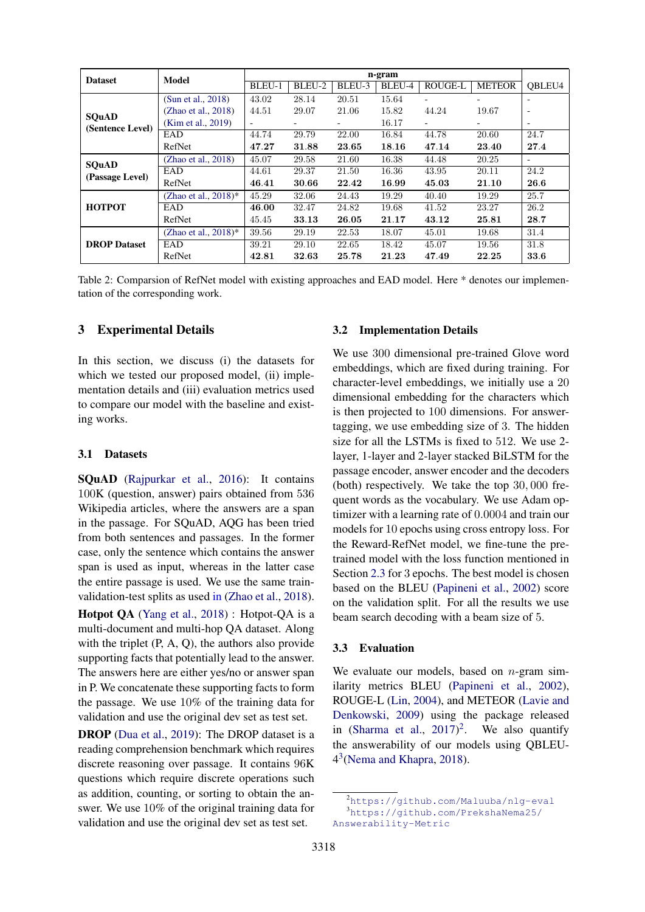<span id="page-4-2"></span>

| <b>Model</b><br><b>Dataset</b>  |                         | n-gram |        |        |        |                          |               |                          |
|---------------------------------|-------------------------|--------|--------|--------|--------|--------------------------|---------------|--------------------------|
|                                 |                         |        | BLEU-2 | BLEU-3 | BLEU-4 | <b>ROUGE-L</b>           | <b>METEOR</b> | OBLEU4                   |
| <b>SQuAD</b>                    | (Sun et al., 2018)      | 43.02  | 28.14  | 20.51  | 15.64  |                          |               | $\overline{\phantom{0}}$ |
|                                 | (Zhao et al., 2018)     | 44.51  | 29.07  | 21.06  | 15.82  | 44.24                    | 19.67         | $\overline{\phantom{a}}$ |
|                                 | (Kim et al., 2019)      | -      |        |        | 16.17  | $\overline{\phantom{0}}$ |               | $\overline{\phantom{a}}$ |
| (Sentence Level)                | EAD                     | 44.74  | 29.79  | 22.00  | 16.84  | 44.78                    | 20.60         | 24.7                     |
|                                 | RefNet                  | 47.27  | 31.88  | 23.65  | 18.16  | 47.14                    | 23.40         | 27.4                     |
| <b>SOuAD</b><br>(Passage Level) | (Zhao et al., 2018)     | 45.07  | 29.58  | 21.60  | 16.38  | 44.48                    | 20.25         | -                        |
|                                 | EAD                     | 44.61  | 29.37  | 21.50  | 16.36  | 43.95                    | 20.11         | 24.2                     |
|                                 | RefNet                  | 46.41  | 30.66  | 22.42  | 16.99  | 45.03                    | 21.10         | 26.6                     |
|                                 | (Zhao et al., $2018$ )* | 45.29  | 32.06  | 24.43  | 19.29  | 40.40                    | 19.29         | 25.7                     |
| <b>HOTPOT</b>                   | EAD                     | 46.00  | 32.47  | 24.82  | 19.68  | 41.52                    | 23.27         | 26.2                     |
|                                 | RefNet                  | 45.45  | 33.13  | 26.05  | 21.17  | 43.12                    | 25.81         | 28.7                     |
| <b>DROP</b> Dataset             | (Zhao et al., $2018$ )* | 39.56  | 29.19  | 22.53  | 18.07  | 45.01                    | 19.68         | 31.4                     |
|                                 | EAD                     | 39.21  | 29.10  | 22.65  | 18.42  | 45.07                    | 19.56         | 31.8                     |
|                                 | RefNet                  | 42.81  | 32.63  | 25.78  | 21.23  | 47.49                    | 22.25         | 33.6                     |

Table 2: Comparsion of RefNet model with existing approaches and EAD model. Here \* denotes our implementation of the corresponding work.

# 3 Experimental Details

In this section, we discuss (i) the datasets for which we tested our proposed model, (ii) implementation details and (iii) evaluation metrics used to compare our model with the baseline and existing works.

#### 3.1 Datasets

SQuAD [\(Rajpurkar et al.,](#page-9-6) [2016\)](#page-9-6): It contains 100K (question, answer) pairs obtained from 536 Wikipedia articles, where the answers are a span in the passage. For SQuAD, AQG has been tried from both sentences and passages. In the former case, only the sentence which contains the answer span is used as input, whereas in the latter case the entire passage is used. We use the same trainvalidation-test splits as used in [\(Zhao et al.,](#page-9-2) [2018\)](#page-9-2).

Hotpot QA [\(Yang et al.,](#page-9-7) [2018\)](#page-9-7) : Hotpot-QA is a multi-document and multi-hop QA dataset. Along with the triplet  $(P, A, Q)$ , the authors also provide supporting facts that potentially lead to the answer. The answers here are either yes/no or answer span in P. We concatenate these supporting facts to form the passage. We use 10% of the training data for validation and use the original dev set as test set.

DROP [\(Dua et al.,](#page-8-6) [2019\)](#page-8-6): The DROP dataset is a reading comprehension benchmark which requires discrete reasoning over passage. It contains 96K questions which require discrete operations such as addition, counting, or sorting to obtain the answer. We use 10% of the original training data for validation and use the original dev set as test set.

#### 3.2 Implementation Details

We use 300 dimensional pre-trained Glove word embeddings, which are fixed during training. For character-level embeddings, we initially use a 20 dimensional embedding for the characters which is then projected to 100 dimensions. For answertagging, we use embedding size of 3. The hidden size for all the LSTMs is fixed to 512. We use 2 layer, 1-layer and 2-layer stacked BiLSTM for the passage encoder, answer encoder and the decoders (both) respectively. We take the top 30, 000 frequent words as the vocabulary. We use Adam optimizer with a learning rate of 0.0004 and train our models for 10 epochs using cross entropy loss. For the Reward-RefNet model, we fine-tune the pretrained model with the loss function mentioned in Section [2.3](#page-3-1) for 3 epochs. The best model is chosen based on the BLEU [\(Papineni et al.,](#page-8-7) [2002\)](#page-8-7) score on the validation split. For all the results we use beam search decoding with a beam size of 5.

#### 3.3 Evaluation

We evaluate our models, based on  $n$ -gram similarity metrics BLEU [\(Papineni et al.,](#page-8-7) [2002\)](#page-8-7), ROUGE-L [\(Lin,](#page-8-8) [2004\)](#page-8-8), and METEOR [\(Lavie and](#page-8-9) [Denkowski,](#page-8-9) [2009\)](#page-8-9) using the package released in [\(Sharma et al.,](#page-9-8)  $2017$  $2017$ )<sup>2</sup>. We also quantify the answerability of our models using QBLEU-4 [3](#page-4-1) [\(Nema and Khapra,](#page-8-4) [2018\)](#page-8-4).

<span id="page-4-1"></span><span id="page-4-0"></span><sup>2</sup><https://github.com/Maluuba/nlg-eval> <sup>3</sup>[https://github.com/PrekshaNema25/](https://github.com/PrekshaNema25/Answerability-Metric)

[Answerability-Metric](https://github.com/PrekshaNema25/Answerability-Metric)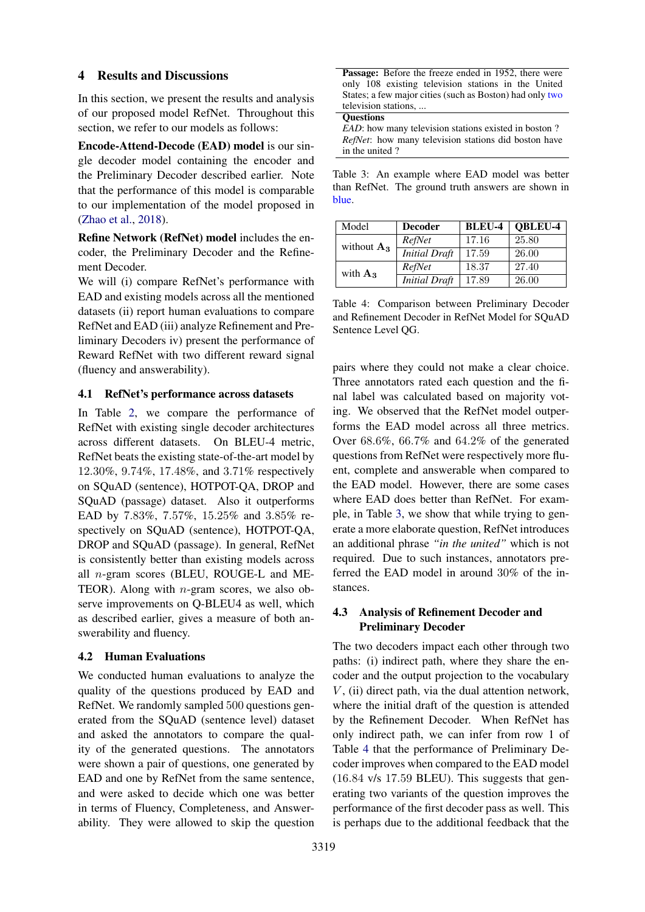# <span id="page-5-0"></span>4 Results and Discussions

In this section, we present the results and analysis of our proposed model RefNet. Throughout this section, we refer to our models as follows:

Encode-Attend-Decode (EAD) model is our single decoder model containing the encoder and the Preliminary Decoder described earlier. Note that the performance of this model is comparable to our implementation of the model proposed in [\(Zhao et al.,](#page-9-2) [2018\)](#page-9-2).

Refine Network (RefNet) model includes the encoder, the Preliminary Decoder and the Refinement Decoder.

We will (i) compare RefNet's performance with EAD and existing models across all the mentioned datasets (ii) report human evaluations to compare RefNet and EAD (iii) analyze Refinement and Preliminary Decoders iv) present the performance of Reward RefNet with two different reward signal (fluency and answerability).

# 4.1 RefNet's performance across datasets

In Table [2,](#page-4-2) we compare the performance of RefNet with existing single decoder architectures across different datasets. On BLEU-4 metric, RefNet beats the existing state-of-the-art model by 12.30%, 9.74%, 17.48%, and 3.71% respectively on SQuAD (sentence), HOTPOT-QA, DROP and SQuAD (passage) dataset. Also it outperforms EAD by 7.83%, 7.57%, 15.25% and 3.85% respectively on SQuAD (sentence), HOTPOT-QA, DROP and SQuAD (passage). In general, RefNet is consistently better than existing models across all n-gram scores (BLEU, ROUGE-L and ME-TEOR). Along with  $n$ -gram scores, we also observe improvements on Q-BLEU4 as well, which as described earlier, gives a measure of both answerability and fluency.

# 4.2 Human Evaluations

We conducted human evaluations to analyze the quality of the questions produced by EAD and RefNet. We randomly sampled 500 questions generated from the SQuAD (sentence level) dataset and asked the annotators to compare the quality of the generated questions. The annotators were shown a pair of questions, one generated by EAD and one by RefNet from the same sentence, and were asked to decide which one was better in terms of Fluency, Completeness, and Answerability. They were allowed to skip the question

<span id="page-5-1"></span>

| <b>Passage:</b> Before the freeze ended in 1952, there were |
|-------------------------------------------------------------|
| only 108 existing television stations in the United         |
| States; a few major cities (such as Boston) had only two    |
| television stations,                                        |
| <b>Ouestions</b>                                            |

*EAD*: how many television stations existed in boston? *RefNet*: how many television stations did boston have in the united ?

Table 3: An example where EAD model was better than RefNet. The ground truth answers are shown in blue.

<span id="page-5-2"></span>

| Model         | <b>Decoder</b>       | <b>BLEU-4</b> | QBLEU-4 |
|---------------|----------------------|---------------|---------|
| without $A_3$ | RefNet               | 17.16         | 25.80   |
|               | <b>Initial</b> Draft | 17.59         | 26.00   |
| with $A_3$    | RefNet               | 18.37         | 27.40   |
|               | <b>Initial Draft</b> | 17.89         | 26.00   |

Table 4: Comparison between Preliminary Decoder and Refinement Decoder in RefNet Model for SQuAD Sentence Level QG.

pairs where they could not make a clear choice. Three annotators rated each question and the final label was calculated based on majority voting. We observed that the RefNet model outperforms the EAD model across all three metrics. Over 68.6%, 66.7% and 64.2% of the generated questions from RefNet were respectively more fluent, complete and answerable when compared to the EAD model. However, there are some cases where EAD does better than RefNet. For example, in Table [3,](#page-5-1) we show that while trying to generate a more elaborate question, RefNet introduces an additional phrase *"in the united"* which is not required. Due to such instances, annotators preferred the EAD model in around 30% of the instances.

# 4.3 Analysis of Refinement Decoder and Preliminary Decoder

The two decoders impact each other through two paths: (i) indirect path, where they share the encoder and the output projection to the vocabulary  $V$ , (ii) direct path, via the dual attention network, where the initial draft of the question is attended by the Refinement Decoder. When RefNet has only indirect path, we can infer from row 1 of Table [4](#page-5-2) that the performance of Preliminary Decoder improves when compared to the EAD model (16.84 v/s 17.59 BLEU). This suggests that generating two variants of the question improves the performance of the first decoder pass as well. This is perhaps due to the additional feedback that the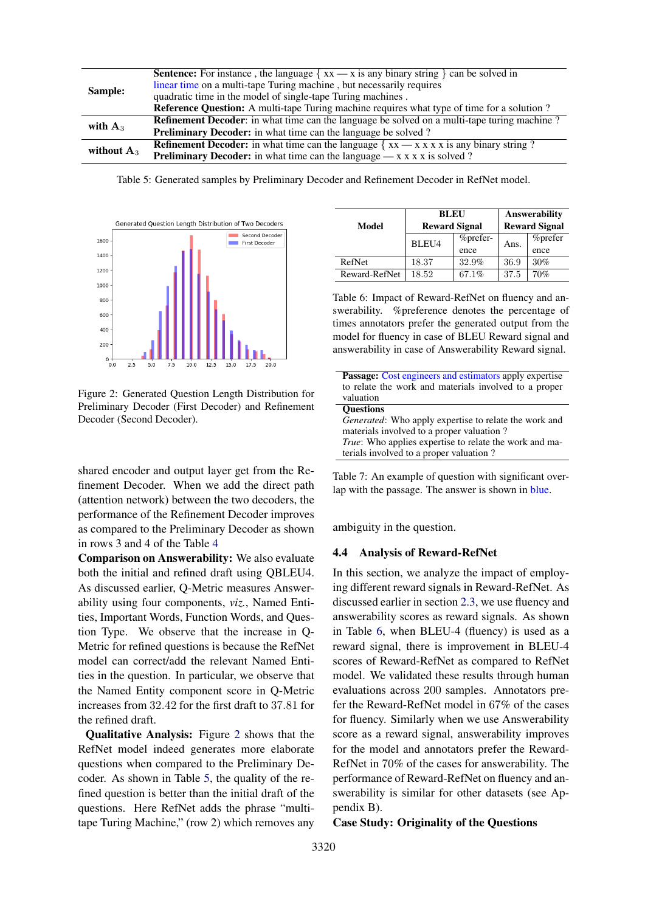<span id="page-6-1"></span>

| Sample:       | <b>Sentence:</b> For instance, the language $\{ xx \rightarrow x \text{ is any binary string } \}$ can be solved in |  |  |  |
|---------------|---------------------------------------------------------------------------------------------------------------------|--|--|--|
|               | linear time on a multi-tape Turing machine, but necessarily requires                                                |  |  |  |
|               | quadratic time in the model of single-tape Turing machines.                                                         |  |  |  |
|               | Reference Question: A multi-tape Turing machine requires what type of time for a solution ?                         |  |  |  |
| with $A_3$    | <b>Refinement Decoder:</b> in what time can the language be solved on a multi-tape turing machine?                  |  |  |  |
|               | <b>Preliminary Decoder:</b> in what time can the language be solved?                                                |  |  |  |
| without $A_3$ | <b>Refinement Decoder:</b> in what time can the language $\{xx - x x x x \}$ is any binary string?                  |  |  |  |
|               | <b>Preliminary Decoder:</b> in what time can the language $-x \times x \times x$ is solved?                         |  |  |  |

Table 5: Generated samples by Preliminary Decoder and Refinement Decoder in RefNet model.

 $\overline{a}$ 

<span id="page-6-0"></span>

Figure 2: Generated Question Length Distribution for Preliminary Decoder (First Decoder) and Refinement Decoder (Second Decoder).

shared encoder and output layer get from the Refinement Decoder. When we add the direct path (attention network) between the two decoders, the performance of the Refinement Decoder improves as compared to the Preliminary Decoder as shown in rows 3 and 4 of the Table [4](#page-5-2)

Comparison on Answerability: We also evaluate both the initial and refined draft using QBLEU4. As discussed earlier, Q-Metric measures Answerability using four components, *viz.*, Named Entities, Important Words, Function Words, and Question Type. We observe that the increase in Q-Metric for refined questions is because the RefNet model can correct/add the relevant Named Entities in the question. In particular, we observe that the Named Entity component score in Q-Metric increases from 32.42 for the first draft to 37.81 for the refined draft.

Qualitative Analysis: Figure [2](#page-6-0) shows that the RefNet model indeed generates more elaborate questions when compared to the Preliminary Decoder. As shown in Table [5,](#page-6-1) the quality of the refined question is better than the initial draft of the questions. Here RefNet adds the phrase "multitape Turing Machine," (row 2) which removes any

<span id="page-6-2"></span>

|               | BLEU                 |          | <b>Answerability</b><br><b>Reward Signal</b> |                 |  |
|---------------|----------------------|----------|----------------------------------------------|-----------------|--|
| Model         | <b>Reward Signal</b> |          |                                              |                 |  |
|               | BLEU4                | %prefer- | Ans.                                         | <i>%</i> prefer |  |
|               |                      | ence     |                                              | ence            |  |
| RefNet        | 18.37                | 32.9%    | 36.9                                         | 30%             |  |
| Reward-RefNet | 18.52                | 67.1%    | 37.5                                         | 70%             |  |

Table 6: Impact of Reward-RefNet on fluency and answerability. %preference denotes the percentage of times annotators prefer the generated output from the model for fluency in case of BLEU Reward signal and answerability in case of Answerability Reward signal.

<span id="page-6-3"></span>

| <b>Passage:</b> Cost engineers and estimators apply expertise |  |  |  |
|---------------------------------------------------------------|--|--|--|
| to relate the work and materials involved to a proper         |  |  |  |
| valuation                                                     |  |  |  |
| <b>Ouestions</b>                                              |  |  |  |
| <i>Generated:</i> Who apply expertise to relate the work and  |  |  |  |
| materials involved to a proper valuation?                     |  |  |  |
| True: Who applies expertise to relate the work and ma-        |  |  |  |
| terials involved to a proper valuation?                       |  |  |  |

Table 7: An example of question with significant overlap with the passage. The answer is shown in blue.

ambiguity in the question.

#### 4.4 Analysis of Reward-RefNet

In this section, we analyze the impact of employing different reward signals in Reward-RefNet. As discussed earlier in section [2.3,](#page-3-1) we use fluency and answerability scores as reward signals. As shown in Table [6,](#page-6-2) when BLEU-4 (fluency) is used as a reward signal, there is improvement in BLEU-4 scores of Reward-RefNet as compared to RefNet model. We validated these results through human evaluations across 200 samples. Annotators prefer the Reward-RefNet model in 67% of the cases for fluency. Similarly when we use Answerability score as a reward signal, answerability improves for the model and annotators prefer the Reward-RefNet in 70% of the cases for answerability. The performance of Reward-RefNet on fluency and answerability is similar for other datasets (see Appendix B).

Case Study: Originality of the Questions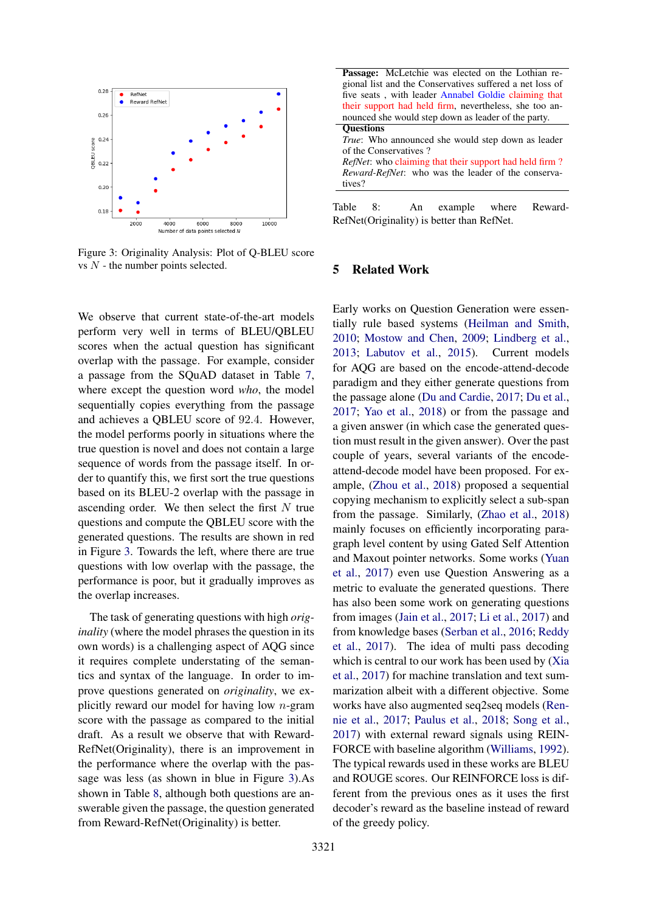<span id="page-7-0"></span>

Figure 3: Originality Analysis: Plot of Q-BLEU score vs  $N$  - the number points selected.

We observe that current state-of-the-art models perform very well in terms of BLEU/QBLEU scores when the actual question has significant overlap with the passage. For example, consider a passage from the SQuAD dataset in Table [7,](#page-6-3) where except the question word *who*, the model sequentially copies everything from the passage and achieves a QBLEU score of 92.4. However, the model performs poorly in situations where the true question is novel and does not contain a large sequence of words from the passage itself. In order to quantify this, we first sort the true questions based on its BLEU-2 overlap with the passage in ascending order. We then select the first  $N$  true questions and compute the QBLEU score with the generated questions. The results are shown in red in Figure [3.](#page-7-0) Towards the left, where there are true questions with low overlap with the passage, the performance is poor, but it gradually improves as the overlap increases.

The task of generating questions with high *originality* (where the model phrases the question in its own words) is a challenging aspect of AQG since it requires complete understating of the semantics and syntax of the language. In order to improve questions generated on *originality*, we explicitly reward our model for having low  $n$ -gram score with the passage as compared to the initial draft. As a result we observe that with Reward-RefNet(Originality), there is an improvement in the performance where the overlap with the passage was less (as shown in blue in Figure [3\)](#page-7-0).As shown in Table [8,](#page-7-1) although both questions are answerable given the passage, the question generated from Reward-RefNet(Originality) is better.

<span id="page-7-1"></span>

Table 8: An example where Reward-RefNet(Originality) is better than RefNet.

# 5 Related Work

Early works on Question Generation were essentially rule based systems [\(Heilman and Smith,](#page-8-0) [2010;](#page-8-0) [Mostow and Chen,](#page-8-10) [2009;](#page-8-10) [Lindberg et al.,](#page-8-11) [2013;](#page-8-11) [Labutov et al.,](#page-8-12) [2015\)](#page-8-12). Current models for AQG are based on the encode-attend-decode paradigm and they either generate questions from the passage alone [\(Du and Cardie,](#page-8-13) [2017;](#page-8-13) [Du et al.,](#page-8-14) [2017;](#page-8-14) [Yao et al.,](#page-9-9) [2018\)](#page-9-9) or from the passage and a given answer (in which case the generated question must result in the given answer). Over the past couple of years, several variants of the encodeattend-decode model have been proposed. For example, [\(Zhou et al.,](#page-9-10) [2018\)](#page-9-10) proposed a sequential copying mechanism to explicitly select a sub-span from the passage. Similarly, [\(Zhao et al.,](#page-9-2) [2018\)](#page-9-2) mainly focuses on efficiently incorporating paragraph level content by using Gated Self Attention and Maxout pointer networks. Some works [\(Yuan](#page-9-11) [et al.,](#page-9-11) [2017\)](#page-9-11) even use Question Answering as a metric to evaluate the generated questions. There has also been some work on generating questions from images [\(Jain et al.,](#page-8-15) [2017;](#page-8-15) [Li et al.,](#page-8-16) [2017\)](#page-8-16) and from knowledge bases [\(Serban et al.,](#page-9-12) [2016;](#page-9-12) [Reddy](#page-9-13) [et al.,](#page-9-13) [2017\)](#page-9-13). The idea of multi pass decoding which is central to our work has been used by [\(Xia](#page-9-14) [et al.,](#page-9-14) [2017\)](#page-9-14) for machine translation and text summarization albeit with a different objective. Some works have also augmented seq2seq models [\(Ren](#page-9-15)[nie et al.,](#page-9-15) [2017;](#page-9-15) [Paulus et al.,](#page-8-17) [2018;](#page-8-17) [Song et al.,](#page-9-16) [2017\)](#page-9-16) with external reward signals using REIN-FORCE with baseline algorithm [\(Williams,](#page-9-3) [1992\)](#page-9-3). The typical rewards used in these works are BLEU and ROUGE scores. Our REINFORCE loss is different from the previous ones as it uses the first decoder's reward as the baseline instead of reward of the greedy policy.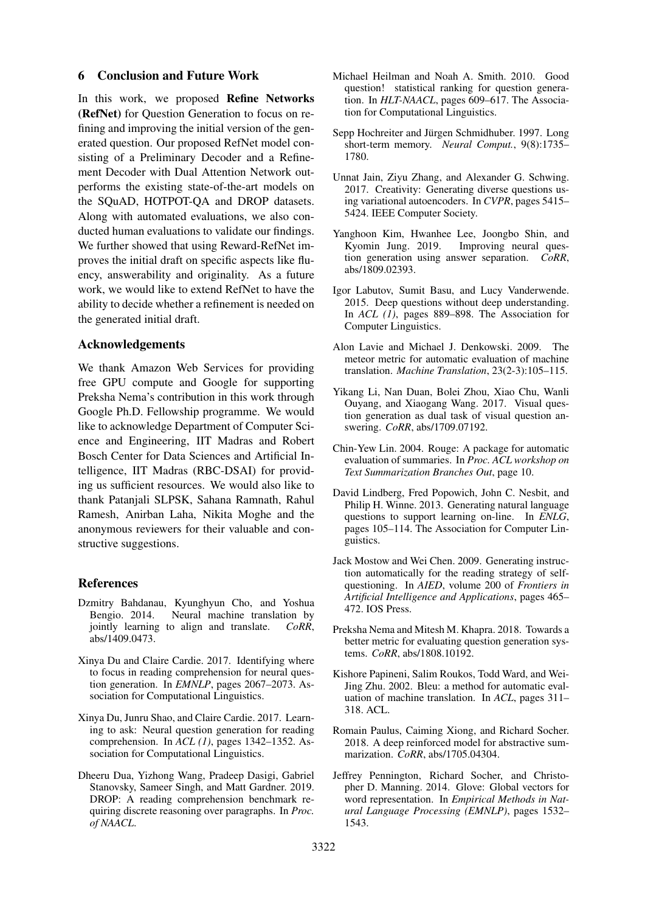### 6 Conclusion and Future Work

In this work, we proposed Refine Networks (RefNet) for Question Generation to focus on refining and improving the initial version of the generated question. Our proposed RefNet model consisting of a Preliminary Decoder and a Refinement Decoder with Dual Attention Network outperforms the existing state-of-the-art models on the SQuAD, HOTPOT-QA and DROP datasets. Along with automated evaluations, we also conducted human evaluations to validate our findings. We further showed that using Reward-RefNet improves the initial draft on specific aspects like fluency, answerability and originality. As a future work, we would like to extend RefNet to have the ability to decide whether a refinement is needed on the generated initial draft.

# Acknowledgements

We thank Amazon Web Services for providing free GPU compute and Google for supporting Preksha Nema's contribution in this work through Google Ph.D. Fellowship programme. We would like to acknowledge Department of Computer Science and Engineering, IIT Madras and Robert Bosch Center for Data Sciences and Artificial Intelligence, IIT Madras (RBC-DSAI) for providing us sufficient resources. We would also like to thank Patanjali SLPSK, Sahana Ramnath, Rahul Ramesh, Anirban Laha, Nikita Moghe and the anonymous reviewers for their valuable and constructive suggestions.

#### References

- <span id="page-8-3"></span>Dzmitry Bahdanau, Kyunghyun Cho, and Yoshua Bengio. 2014. Neural machine translation by jointly learning to align and translate. *CoRR*, abs/1409.0473.
- <span id="page-8-13"></span>Xinya Du and Claire Cardie. 2017. Identifying where to focus in reading comprehension for neural question generation. In *EMNLP*, pages 2067–2073. Association for Computational Linguistics.
- <span id="page-8-14"></span>Xinya Du, Junru Shao, and Claire Cardie. 2017. Learning to ask: Neural question generation for reading comprehension. In *ACL (1)*, pages 1342–1352. Association for Computational Linguistics.
- <span id="page-8-6"></span>Dheeru Dua, Yizhong Wang, Pradeep Dasigi, Gabriel Stanovsky, Sameer Singh, and Matt Gardner. 2019. DROP: A reading comprehension benchmark requiring discrete reasoning over paragraphs. In *Proc. of NAACL*.
- <span id="page-8-0"></span>Michael Heilman and Noah A. Smith. 2010. Good question! statistical ranking for question generation. In *HLT-NAACL*, pages 609–617. The Association for Computational Linguistics.
- <span id="page-8-2"></span>Sepp Hochreiter and Jürgen Schmidhuber. 1997. Long short-term memory. *Neural Comput.*, 9(8):1735– 1780.
- <span id="page-8-15"></span>Unnat Jain, Ziyu Zhang, and Alexander G. Schwing. 2017. Creativity: Generating diverse questions using variational autoencoders. In *CVPR*, pages 5415– 5424. IEEE Computer Society.
- <span id="page-8-5"></span>Yanghoon Kim, Hwanhee Lee, Joongbo Shin, and Kyomin Jung. 2019. Improving neural question generation using answer separation. *CoRR*, abs/1809.02393.
- <span id="page-8-12"></span>Igor Labutov, Sumit Basu, and Lucy Vanderwende. 2015. Deep questions without deep understanding. In *ACL (1)*, pages 889–898. The Association for Computer Linguistics.
- <span id="page-8-9"></span>Alon Lavie and Michael J. Denkowski. 2009. The meteor metric for automatic evaluation of machine translation. *Machine Translation*, 23(2-3):105–115.
- <span id="page-8-16"></span>Yikang Li, Nan Duan, Bolei Zhou, Xiao Chu, Wanli Ouyang, and Xiaogang Wang. 2017. Visual question generation as dual task of visual question answering. *CoRR*, abs/1709.07192.
- <span id="page-8-8"></span>Chin-Yew Lin. 2004. Rouge: A package for automatic evaluation of summaries. In *Proc. ACL workshop on Text Summarization Branches Out*, page 10.
- <span id="page-8-11"></span>David Lindberg, Fred Popowich, John C. Nesbit, and Philip H. Winne. 2013. Generating natural language questions to support learning on-line. In *ENLG*, pages 105–114. The Association for Computer Linguistics.
- <span id="page-8-10"></span>Jack Mostow and Wei Chen. 2009. Generating instruction automatically for the reading strategy of selfquestioning. In *AIED*, volume 200 of *Frontiers in Artificial Intelligence and Applications*, pages 465– 472. IOS Press.
- <span id="page-8-4"></span>Preksha Nema and Mitesh M. Khapra. 2018. Towards a better metric for evaluating question generation systems. *CoRR*, abs/1808.10192.
- <span id="page-8-7"></span>Kishore Papineni, Salim Roukos, Todd Ward, and Wei-Jing Zhu. 2002. Bleu: a method for automatic evaluation of machine translation. In *ACL*, pages 311– 318. ACL.
- <span id="page-8-17"></span>Romain Paulus, Caiming Xiong, and Richard Socher. 2018. A deep reinforced model for abstractive summarization. *CoRR*, abs/1705.04304.
- <span id="page-8-1"></span>Jeffrey Pennington, Richard Socher, and Christopher D. Manning. 2014. Glove: Global vectors for word representation. In *Empirical Methods in Natural Language Processing (EMNLP)*, pages 1532– 1543.